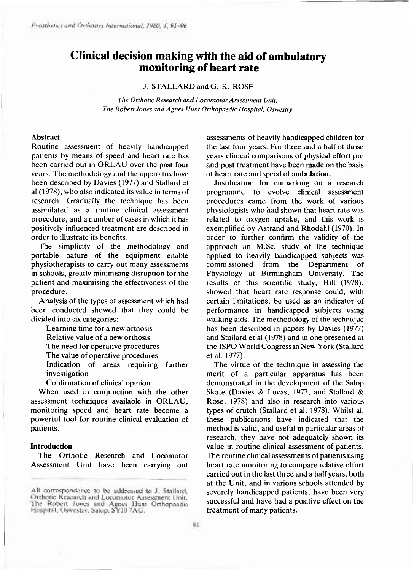# **Clinical decision making with the aid of ambulatory monitoring of heart rate**

J. STALLARD and G. K. ROSE

*The Orthotic Research and Locomotor Assessment Unit, The Robert Jones and Agnes Hunt Orthopaedic Hospital, Oswestry* 

## **Abstrac t**

Routine assessment of heavily handicapped patients by means of speed and heart rate has been carried out in ORLAU over the past four years. The methodology and the apparatus have been described by Davies (1977) and Stallard et al  $(1978)$ , who also indicated its value in terms of research. Gradually the technique has been assimilated as a routine clinical assessment procedure, and a number of cases in which it has positively influenced treatment are described in order to illustrate its benefits.

The simplicity of the methodology and portable nature of the equipment enable physiotherapists to carry out many assessments in schools, greatly minimising disruption for the patient and maximising the effectiveness of the procedure.

Analysis of the types of assessment which had been conducted showed that they could be divided into six categories:

Learning time for a new orthosis Relative value of a new orthosis The need for operative procedures The value of operative procedures Indication of areas requiring further investigation

Confirmation of clinical opinion

When used in conjunction with the other assessment techniques available in ORLAU, monitoring speed and heart rate become a powerful tool for routine clinical evaluation of patients.

#### **Introduction**

The Orthotic Research and Locomotor Assessment Unit have been carrying out

assessments of heavily handicapped children for the last four years. For three and a half of those years clinical comparisons of physical effort pre and post treatment have been made on the basis of heart rate and speed of ambulation.

Justification for embarking on a research programme to evolve clinical assessment procedures came from the work of various physiologists who had shown that heart rate was related to oxygen uptake, and this work is exemplified by Astrand and Rhodahl (1970). In order to further confirm the validity of the approach an M.Sc. study of the technique applied to heavily handicapped subjects was commissioned from the Department of Physiology at Birmingham University. The results of this scientific study, Hill (1978), showed that heart rate response could, with certain limitations, be used as an indicator of performance in handicapped subjects using walking aids. The methodology of the technique has been described in papers by Davies (1977) and Stallard et al (1978) and in one presented at the ISPO World Congress in New York (Stallard et al. 1977).

The virtue of the technique in assessing the merit of a particular apparatus has been demonstrated in the development of the Salop Skate (Davies & Lucas, 1977, and Stallard & Rose, 1978) and also in research into various types of crutch (Stallard et al, 1978). Whilst all these publications have indicated that the method is valid, and useful in particular areas of research, they have not adequately shown its value in routine clinical assessment of patients. The routine clinical assessments of patients using heart rate monitoring to compare relative effort carried out in the last three and a half years, both at the Unit, and in various schools attended by severely handicapped patients, have been very successful and have had a positive effect on the treatment of many patients.

All correspondence to be addressed to J. Stallard, Orthotic Research and Locomotor Assessment Unit. The Robert Jones and Agnes Hunt Orthopaedic<br>Hospital, Oswestry, Salop, SY107AG.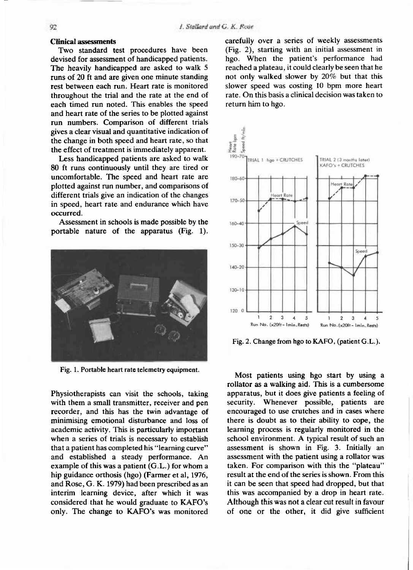#### **Clinical assessments**

Two standard test procedures have been devised for assessment of handicapped patients. The heavily handicapped are asked to walk 5 runs of 20 ft and are given one minute standing rest between each run. Heart rate is monitored throughout the trial and the rate at the end of each timed run noted. This enables the speed and heart rate of the series to be plotted against run numbers. Comparison of different trials gives a clear visual and quantitative indication of the change in both speed and heart rate, so that the effect of treatment is immediately apparent.

Less handicapped patients are asked to walk 80 ft runs continuously until they are tired or uncomfortable. The speed and heart rate are plotted against run number, and comparisons of different trials give an indication of the changes in speed, heart rate and endurance which have occurred.

Assessment in schools is made possible by the portable nature of the apparatus (Fig. 1).



Fig. 1. Portable heart rate telemetry equipment.

Physiotherapists can visit the schools, taking with them a small transmitter, receiver and pen recorder, and this has the twin advantage of minimising emotional disturbance and loss of academic activity. This is particularly important when a series of trials is necessary to establish that a patient has completed his "learning curve" and established a steady performance. An example of this was a patient  $(G.L.)$  for whom a hip guidance orthosis (hgo) (Farmer et al, 1976, and Rose, G. K. 1979) had been prescribed as an interim learning device, after which it was considered that he would graduate to KAFO's only. The change to KAFO's was monitored

carefully over a series of weekly assessments  $(Fig. 2)$ , starting with an initial assessment in hgo. When the patient's performance had reached a plateau, it could clearly be seen that he not only walked slower by  $20\%$  but that this slower speed was costing 10 bpm more heart rate. On this basis a clinical decision was taken to return him to hgo.



Fig. 2. Change from hgo to KAFO, (patient G.L.).

Most patients using hgo start by using a rollator as a walking aid. This is a cumbersome apparatus, but it does give patients a feeling of security. Whenever possible, patients are encouraged to use crutches and in cases where there is doubt as to their ability to cope, the learning process is regularly monitored in the school environment. A typical result of such an assessment is shown in Fig. 3. Initially an assessment with the patient using a rollator was taken. For comparison with this the "plateau" result at the end of the series is shown. From this it can be seen that speed had dropped, but that this was accompanied by a drop in heart rate. Although this was not a clear cut result in favour of one or the other, it did give sufficient

#### 92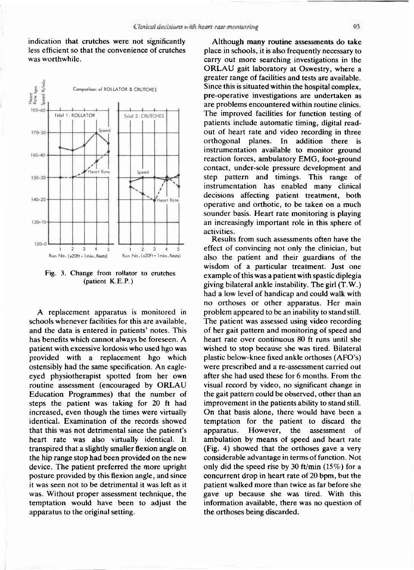indication that crutches were not significantly less efficient so that the convenience of crutches was worthwhile



**Fig. 3. Change from rollator to crutches (patient K.E.P.)** 

A replacement apparatus is monitored in schools whenever facilities for this are available, and the data is entered in patients' notes. This has benefits which cannot always be foreseen. A patient with excessive lordosis who used hgo was provided with a replacement hgo which ostensibly had the same specification. An eagleeyed physiotherapist spotted from her own routine assessment (encouraged by ORLAU Education Programmes) that the number of steps the patient was taking for 20 ft had increased, even though the times were virtually identical. Examination of the records showed that this was not detrimental since the patient's heart rate was also virtually identical. It transpired that a slightly smaller flexion angle on the hip range stop had been provided on the new device. The patient preferred the more upright posture provided by this flexion angle, and since it was seen not to be detrimental it was left as it was. Without proper assessment technique, the temptation would have been to adjust the apparatus to the original setting.

Although many routine assessments do take place in schools, it is also frequently necessary to carry out more searching investigations in the ORLAU gait laboratory at Oswestry, where a greater range of facilities and tests are available. Since this is situated within the hospital complex, pre-operative investigations are undertaken as are problems encountered within routine clinics. The improved facilities for function testing of patients include automatic timing, digital readout of heart rate and video recording in three orthogonal planes. In addition there is instrumentation available to monitor ground reaction forces, ambulatory EMG, foot-ground contact, under-sole pressure development and step pattern and timings. This range of instrumentation has enabled many clinical decisions affecting patient treatment, both operative and orthotic, to be taken on a much sounder basis. Heart rate monitoring is playing an increasingly important role in this sphere of activities.

Results from such assessments often have the effect of convincing not only the clinician, but also the patient and their guardians of the wisdom of a particular treatment. Just one example of this was a patient with spastic diplegia giving bilateral ankle instability. The girl  $(T.W.)$ had a low level of handicap and could walk with no orthoses or other apparatus. Her main problem appeared to be an inability to stand still. The patient was assessed using video recording of her gait pattern and monitoring of speed and heart rate over continuous 80 ft runs until she wished to stop because she was tired. Bilateral plastic below-knee fixed ankle orthoses (AFO's) were prescribed and a re-assessment carried out after she had used these for 6 months. From the visual record by video, no significant change in the gait pattern could be observed, other than an improvement in the patients ability to stand still. On that basis alone, there would have been a temptation for the patient to discard the apparatus. However, the assessment of ambulation by means of speed and heart rate (Fig. 4) showed that the orthoses gave a very considerable advantage in terms of function. Not only did the speed rise by 30 ft/min  $(15\%)$  for a concurrent drop in heart rate of 20 bpm, but the patient walked more than twice as far before she gave up because she was tired. With this information available, there was no question of the orthoses being discarded.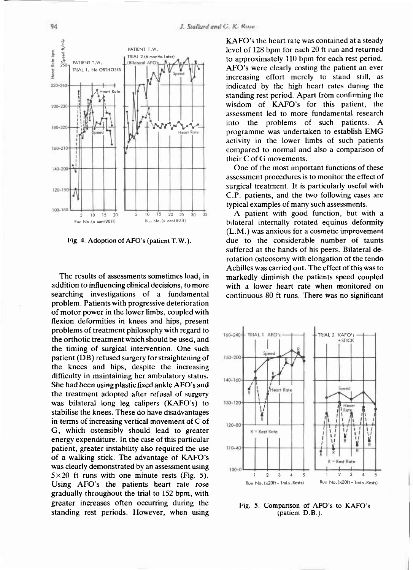

**Fig. 4. Adoption of AFO's (patient T.W.).** 

The results of assessments sometimes lead, in addition to influencing clinical decisions, to more searching investigations of a fundamental problem. Patients with progressive deterioration of motor power in the lower limbs, coupled with flexion deformities in knees and hips, present problems of treatment philosophy with regard to the orthotic treatment which should be used, and the timing of surgical intervention. One such patient (DB) refused surgery for straightening of the knees and hips, despite the increasing difficulty in maintaining her ambulatory status. She had been using plastic fixed ankle AFO's and the treatment adopted after refusal of surgery was bilateral long leg calipers (KAFO's) to stabilise the knees. These do have disadvantages in terms of increasing vertical movement of  $C$  of G, which ostensibly should lead to greater energy expenditure. In the case of this particular patient, greater instability also required the use of a walking stick. The advantage of KAFO's was clearly demonstrated by an assessment using  $5 \times 20$  ft runs with one minute rests (Fig. 5). Using AFO's the patients heart rate rose gradually throughout the trial to 152 bpm, with greater increases often occurring during the standing rest periods. However, when using

KAFO's the heart rate was contained at a steady level of 128 bpm for each 20 ft run and returned to approximately 110 bpm for each rest period. AFO's were clearly costing the patient an ever increasing effort merely to stand still, as indicated by the high heart rates during the standing rest period. Apart from confirming the wisdom of KAFO's for this patient, the assessment led to more fundamental research into the problems of such patients. A programme was undertaken to establish EMG activity in the lower limbs of such patients compared to normal and also a comparison of their C of G movements.

One of the most important functions of these assessment procedures is to monitor the effect of surgical treatment. It is particularly useful with C.P. patients, and the two following cases are typical examples of many such assessments.

A patient with good function, but with a bilateral internally rotated equinus deformity  $(L.M.)$  was anxious for a cosmetic improvement due to the considerable number of taunts suffered at the hands of his peers. Bilateral derotation osteosomy with elongation of the tendo Achilles was carried out. The effect of this was to markedly diminish the patients speed coupled with a lower heart rate when monitored on continuous 80 ft runs. There was no significant



**Fig.** 5. **Comparison of AFO's to KAFO's (patient D.B.).**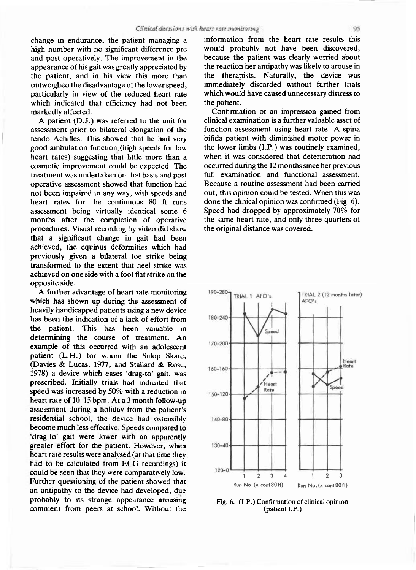change in endurance, the patient managing a high number with no significant difference pre and post operatively. The improvement in the appearance of his gait was greatly appreciated by the patient, and in his view this more than outweighed the disadvantage of the lower speed, particularly in view of the reduced heart rate which indicated that efficiency had not been markedly affected.

A patient  $(D.J.)$  was referred to the unit for assessment prior to bilateral elongation of the tendo Achilles. This showed that he had very good ambulation function (high speeds for low heart rates) suggesting that little more than a cosmetic improvement could be expected. The treatment was undertaken on that basis and post operative assessment showed that function had not been impaired in any way, with speeds and heart rates for the continuous 80 ft runs assessment being virtually identical some 6 months after the completion of operative procedures. Visual recording by video did show that a significant change in gait had been achieved, the equinus deformities which had previously given a bilateral toe strike being transformed to the extent that heel strike was achieved on one side with a foot flat strike on the opposite side.

A further advantage of heart rate monitoring which has shown up during the assessment of heavily handicapped patients using a new device has been the indication of a lack of effort from the patient. This has been valuable in determining the course of treatment. An example of this occurred with an adolescent patient (L.H.) for whom the Salop Skate, (Davies & Lucas, 1977, and Stallard & Rose, 1978) a device which eases 'drag-to' gait, was prescribed. Initially trials had indicated that speed was increased by  $50\%$  with a reduction in heart rate of  $10-15$  bpm. At a 3 month follow-up assessment during a holiday from the patient's residential school, the device had ostensibly become much less effective. Speeds compared to 'drag-to' gait were lower with an apparently greater effort for the patient. However, when heart rate results were analysed (at that time they had to be calculated from ECG recordings) it could be seen that they were comparatively low. Further questioning of the patient showed that an antipathy to the device had developed, due probably to its strange appearance arousing comment from peers at school. Without the

information from the heart rate results this would probably not have been discovered, because the patient was clearly worried about the reaction her antipathy was likely to arouse in the therapists. Naturally, the device was immediately discarded without further trials which would have caused unnecessary distress to the patient.

Confirmation of an impression gained from clinical examination is a further valuable asset of function assessment using heart rate. A spina bifida patient with diminished motor power in the lower limbs (I.P.) was routinely examined, when it was considered that deterioration had occurred during the 12 months since her previous full examination and functional assessment. Because a routine assessment had been carried out, this opinion could be tested. When this was done the clinical opinion was confirmed (Fig.  $6$ ). Speed had dropped by approximately 70% for the same heart rate, and only three quarters of the original distance was covered.



**Fig. 6. (I.P.) Confirmation of clinical opinion (patient I.P.)**